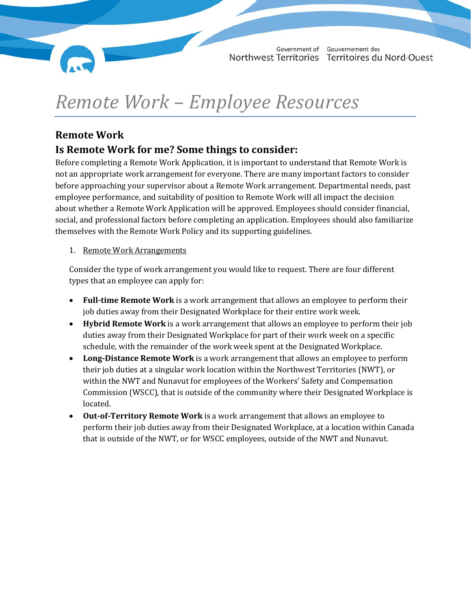

# *Remote Work – Employee Resources*

# **Remote Work**

# **Is Remote Work for me? Some things to consider:**

Before completing a Remote Work Application, it is important to understand that Remote Work is not an appropriate work arrangement for everyone. There are many important factors to consider before approaching your supervisor about a Remote Work arrangement. Departmental needs, past employee performance, and suitability of position to Remote Work will all impact the decision about whether a Remote Work Application will be approved. Employees should consider financial, social, and professional factors before completing an application. Employees should also familiarize themselves with the Remote Work Policy and its supporting guidelines.

## 1. Remote Work Arrangements

Consider the type of work arrangement you would like to request. There are four different types that an employee can apply for:

- **Full-time Remote Work** is a work arrangement that allows an employee to perform their job duties away from their Designated Workplace for their entire work week.
- **Hybrid Remote Work** is a work arrangement that allows an employee to perform their job duties away from their Designated Workplace for part of their work week on a specific schedule, with the remainder of the work week spent at the Designated Workplace.
- **Long-Distance Remote Work** is a work arrangement that allows an employee to perform their job duties at a singular work location within the Northwest Territories (NWT), or within the NWT and Nunavut for employees of the Workers' Safety and Compensation Commission (WSCC), that is outside of the community where their Designated Workplace is located.
- **Out-of-Territory Remote Work** is a work arrangement that allows an employee to perform their job duties away from their Designated Workplace, at a location within Canada that is outside of the NWT, or for WSCC employees, outside of the NWT and Nunavut.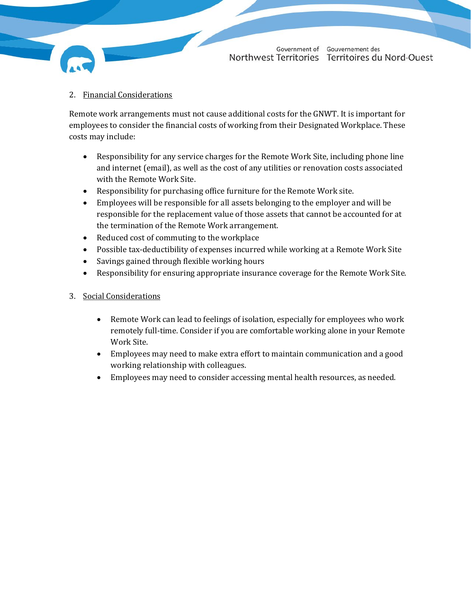2. Financial Considerations

Remote work arrangements must not cause additional costs for the GNWT. It is important for employees to consider the financial costs of working from their Designated Workplace. These costs may include:

- Responsibility for any service charges for the Remote Work Site, including phone line and internet (email), as well as the cost of any utilities or renovation costs associated with the Remote Work Site.
- Responsibility for purchasing office furniture for the Remote Work site.
- Employees will be responsible for all assets belonging to the employer and will be responsible for the replacement value of those assets that cannot be accounted for at the termination of the Remote Work arrangement.
- Reduced cost of commuting to the workplace
- Possible tax-deductibility of expenses incurred while working at a Remote Work Site
- Savings gained through flexible working hours
- Responsibility for ensuring appropriate insurance coverage for the Remote Work Site.
- 3. Social Considerations
	- Remote Work can lead to feelings of isolation, especially for employees who work remotely full-time. Consider if you are comfortable working alone in your Remote Work Site.
	- Employees may need to make extra effort to maintain communication and a good working relationship with colleagues.
	- Employees may need to consider accessing mental health resources, as needed.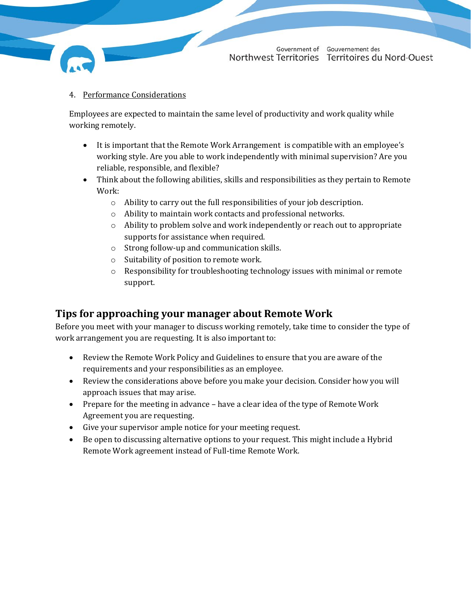#### 4. Performance Considerations

Employees are expected to maintain the same level of productivity and work quality while working remotely.

- It is important that the Remote Work Arrangement is compatible with an employee's working style. Are you able to work independently with minimal supervision? Are you reliable, responsible, and flexible?
- Think about the following abilities, skills and responsibilities as they pertain to Remote Work:
	- o Ability to carry out the full responsibilities of your job description.
	- o Ability to maintain work contacts and professional networks.
	- $\circ$  Ability to problem solve and work independently or reach out to appropriate supports for assistance when required.
	- o Strong follow-up and communication skills.
	- o Suitability of position to remote work.
	- $\circ$  Responsibility for troubleshooting technology issues with minimal or remote support.

## **Tips for approaching your manager about Remote Work**

Before you meet with your manager to discuss working remotely, take time to consider the type of work arrangement you are requesting. It is also important to:

- Review the Remote Work Policy and Guidelines to ensure that you are aware of the requirements and your responsibilities as an employee.
- Review the considerations above before you make your decision. Consider how you will approach issues that may arise.
- Prepare for the meeting in advance have a clear idea of the type of Remote Work Agreement you are requesting.
- Give your supervisor ample notice for your meeting request.
- Be open to discussing alternative options to your request. This might include a Hybrid Remote Work agreement instead of Full-time Remote Work.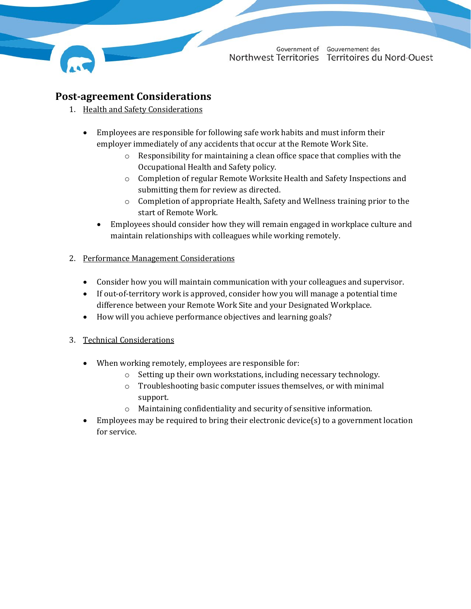

## **Post-agreement Considerations**

- 1. Health and Safety Considerations
	- Employees are responsible for following safe work habits and must inform their employer immediately of any accidents that occur at the Remote Work Site.
		- o Responsibility for maintaining a clean office space that complies with the Occupational Health and Safety policy.
		- o Completion of regular Remote Worksite Health and Safety Inspections and submitting them for review as directed.
		- o Completion of appropriate Health, Safety and Wellness training prior to the start of Remote Work.
		- Employees should consider how they will remain engaged in workplace culture and maintain relationships with colleagues while working remotely.
- 2. Performance Management Considerations
	- Consider how you will maintain communication with your colleagues and supervisor.
	- If out-of-territory work is approved, consider how you will manage a potential time difference between your Remote Work Site and your Designated Workplace.
	- How will you achieve performance objectives and learning goals?

## 3. Technical Considerations

- When working remotely, employees are responsible for:
	- o Setting up their own workstations, including necessary technology.
	- o Troubleshooting basic computer issues themselves, or with minimal support.
	- o Maintaining confidentiality and security of sensitive information.
- Employees may be required to bring their electronic device(s) to a government location for service.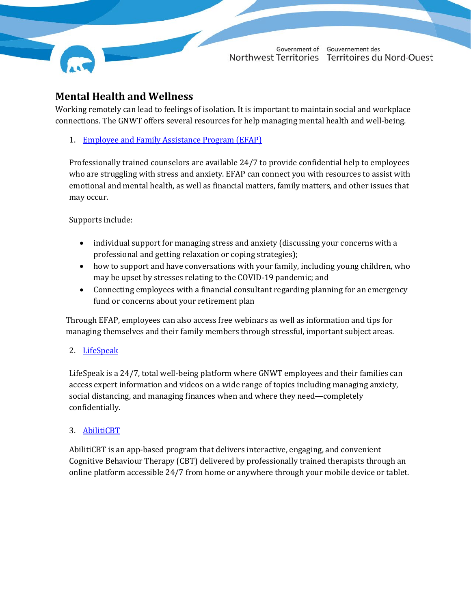

# **Mental Health and Wellness**

Working remotely can lead to feelings of isolation. It is important to maintain social and workplace connections. The GNWT offers several resources for help managing mental health and well-being.

1. [Employee and Family Assistance Program \(EFAP\)](https://my.hr.gov.nt.ca/faq-group/employee-family-assistance-program)

Professionally trained counselors are available 24/7 to provide confidential help to employees who are struggling with stress and anxiety. EFAP can connect you with resources to assist with emotional and mental health, as well as financial matters, family matters, and other issues that may occur.

Supports include:

- individual support for managing stress and anxiety (discussing your concerns with a professional and getting relaxation or coping strategies);
- how to support and have conversations with your family, including young children, who may be upset by stresses relating to the COVID-19 pandemic; and
- Connecting employees with a financial consultant regarding planning for an emergency fund or concerns about your retirement plan

Through EFAP, employees can also access free webinars as well as information and tips for managing themselves and their family members through stressful, important subject areas.

## 2. [LifeSpeak](https://my.hr.gov.nt.ca/employees/employee-health-and-well-being/lifespeak)

LifeSpeak is a 24/7, total well-being platform where GNWT employees and their families can access expert information and videos on a wide range of topics including managing anxiety, social distancing, and managing finances when and where they need—completely confidentially.

## 3. [AbilitiCBT](https://my.hr.gov.nt.ca/employees/employee-health-and-well-being/abiliticbt)

AbilitiCBT is an app-based program that delivers interactive, engaging, and convenient Cognitive Behaviour Therapy (CBT) delivered by professionally trained therapists through an online platform accessible 24/7 from home or anywhere through your mobile device or tablet.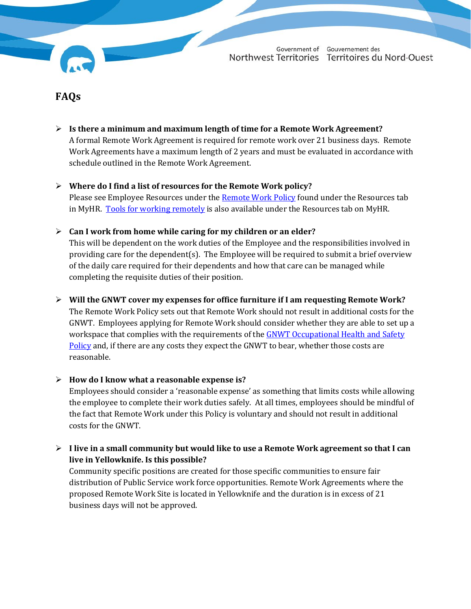## **FAQs**

- **Is there a minimum and maximum length of time for a Remote Work Agreement?** A formal Remote Work Agreement is required for remote work over 21 business days. Remote Work Agreements have a maximum length of 2 years and must be evaluated in accordance with schedule outlined in the Remote Work Agreement.
- **Where do I find a list of resources for the Remote Work policy?** Please see Employee Resources under the [Remote Work Policy](https://my.hr.gov.nt.ca/file/remote-work-policy-december-2021pdf) found under the Resources tab in MyHR. [Tools for working remotely](https://bearnet.gov.nt.ca/bear-facts/tools-working-remotely) is also available under the Resources tab on MyHR.
- **Can I work from home while caring for my children or an elder?**

This will be dependent on the work duties of the Employee and the responsibilities involved in providing care for the dependent(s). The Employee will be required to submit a brief overview of the daily care required for their dependents and how that care can be managed while completing the requisite duties of their position.

#### **Will the GNWT cover my expenses for office furniture if I am requesting Remote Work?**

The Remote Work Policy sets out that Remote Work should not result in additional costs for the GNWT. Employees applying for Remote Work should consider whether they are able to set up a workspace that complies with the requirements of the GNWT Occupational Health and Safety [Policy](https://my.hr.gov.nt.ca/resources/health-safety) and, if there are any costs they expect the GNWT to bear, whether those costs are reasonable.

#### **How do I know what a reasonable expense is?**

Employees should consider a 'reasonable expense' as something that limits costs while allowing the employee to complete their work duties safely. At all times, employees should be mindful of the fact that Remote Work under this Policy is voluntary and should not result in additional costs for the GNWT.

## **I live in a small community but would like to use a Remote Work agreement so that I can live in Yellowknife. Is this possible?**

Community specific positions are created for those specific communities to ensure fair distribution of Public Service work force opportunities. Remote Work Agreements where the proposed Remote Work Site is located in Yellowknife and the duration is in excess of 21 business days will not be approved.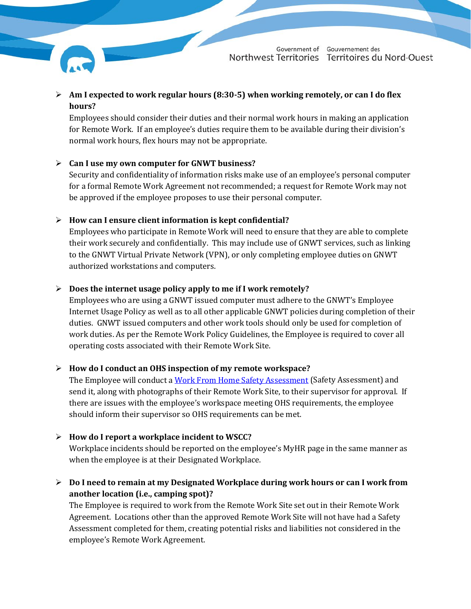

 **Am I expected to work regular hours (8:30-5) when working remotely, or can I do flex hours?**

Employees should consider their duties and their normal work hours in making an application for Remote Work. If an employee's duties require them to be available during their division's normal work hours, flex hours may not be appropriate.

## **Can I use my own computer for GNWT business?**

Security and confidentiality of information risks make use of an employee's personal computer for a formal Remote Work Agreement not recommended; a request for Remote Work may not be approved if the employee proposes to use their personal computer.

## **How can I ensure client information is kept confidential?**

Employees who participate in Remote Work will need to ensure that they are able to complete their work securely and confidentially. This may include use of GNWT services, such as linking to the GNWT Virtual Private Network (VPN), or only completing employee duties on GNWT authorized workstations and computers.

## **Does the internet usage policy apply to me if I work remotely?**

Employees who are using a GNWT issued computer must adhere to the GNWT's Employee Internet Usage Policy as well as to all other applicable GNWT policies during completion of their duties. GNWT issued computers and other work tools should only be used for completion of work duties. As per the Remote Work Policy Guidelines, the Employee is required to cover all operating costs associated with their Remote Work Site.

## **How do I conduct an OHS inspection of my remote workspace?**

The Employee will conduct a [Work From Home Safety Assessment](https://my.hr.gov.nt.ca/file/remote-work-appendix-c-work-home-safety-assessmentfillablepdf) (Safety Assessment) and send it, along with photographs of their Remote Work Site, to their supervisor for approval. If there are issues with the employee's workspace meeting OHS requirements, the employee should inform their supervisor so OHS requirements can be met.

## **How do I report a workplace incident to WSCC?**

Workplace incidents should be reported on the employee's MyHR page in the same manner as when the employee is at their Designated Workplace.

 **Do I need to remain at my Designated Workplace during work hours or can I work from another location (i.e., camping spot)?**

The Employee is required to work from the Remote Work Site set out in their Remote Work Agreement. Locations other than the approved Remote Work Site will not have had a Safety Assessment completed for them, creating potential risks and liabilities not considered in the employee's Remote Work Agreement.